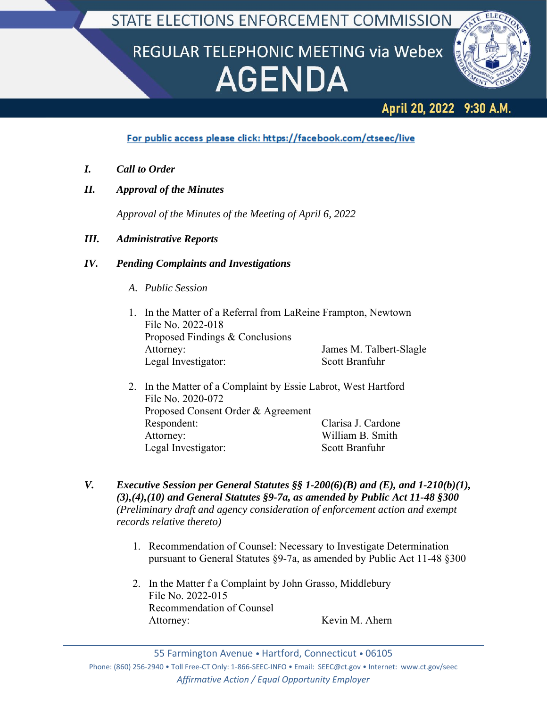STATE ELECTIONS ENFORCEMENT COMMISSION

# REGULAR TELEPHONIC MEETING via Webex **AGENDA**



#### **April 20, 2022** 9:30 A.M.

## For public access please click: https://facebook.com/ctseec/live

- *I. Call to Order*
- *II. Approval of the Minutes*

*Approval of the Minutes of the Meeting of April 6, 2022*

### *III. Administrative Reports*

### *IV. Pending Complaints and Investigations*

- *A. Public Session*
- 1. In the Matter of a Referral from LaReine Frampton, Newtown File No. 2022-018 Proposed Findings & Conclusions Attorney: James M. Talbert-Slagle Legal Investigator: Scott Branfuhr
- 2. In the Matter of a Complaint by Essie Labrot, West Hartford File No. 2020-072 Proposed Consent Order & Agreement Respondent: Clarisa J. Cardone Attorney: William B. Smith Legal Investigator: Scott Branfuhr
- *V. Executive Session per General Statutes §§ 1-200(6)(B) and (E), and 1-210(b)(1), (3),(4),(10) and General Statutes §9-7a, as amended by Public Act 11-48 §300 (Preliminary draft and agency consideration of enforcement action and exempt records relative thereto)*
	- 1. Recommendation of Counsel: Necessary to Investigate Determination pursuant to General Statutes §9-7a, as amended by Public Act 11-48 §300
	- 2. In the Matter f a Complaint by John Grasso, Middlebury File No. 2022-015 Recommendation of Counsel Attorney: Kevin M. Ahern